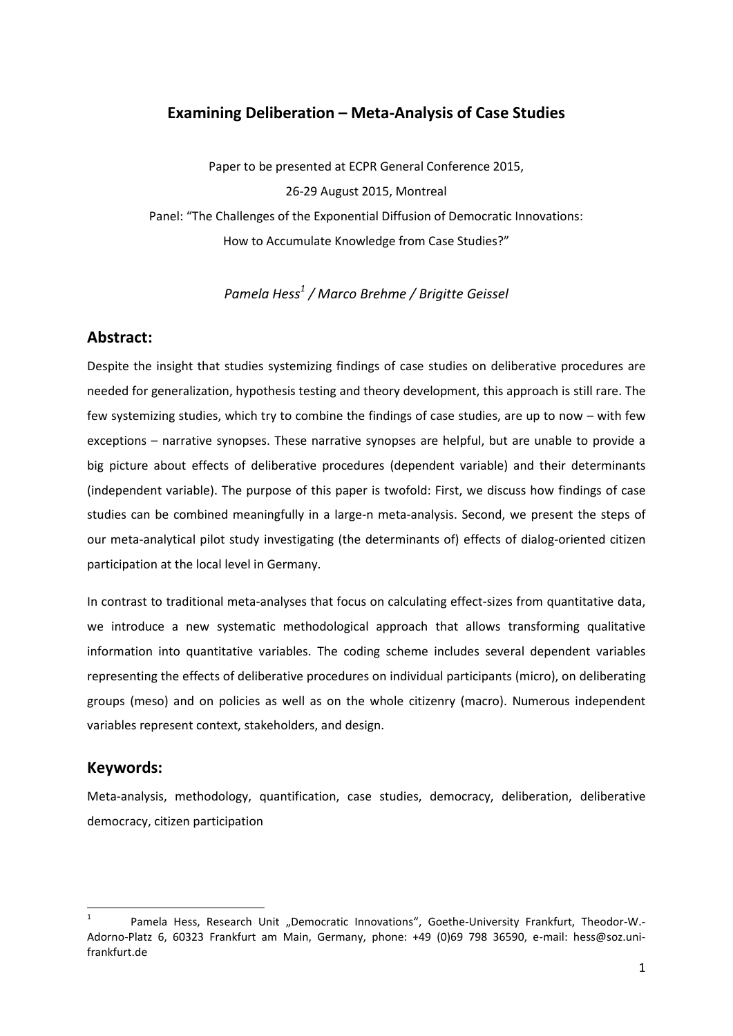## **Examining Deliberation – Meta-Analysis of Case Studies**

Paper to be presented at ECPR General Conference 2015, 26-29 August 2015, Montreal Panel: "The Challenges of the Exponential Diffusion of Democratic Innovations: How to Accumulate Knowledge from Case Studies?"

*Pamela Hess<sup>1</sup> / Marco Brehme / Brigitte Geissel*

## **Abstract:**

Despite the insight that studies systemizing findings of case studies on deliberative procedures are needed for generalization, hypothesis testing and theory development, this approach is still rare. The few systemizing studies, which try to combine the findings of case studies, are up to now – with few exceptions – narrative synopses. These narrative synopses are helpful, but are unable to provide a big picture about effects of deliberative procedures (dependent variable) and their determinants (independent variable). The purpose of this paper is twofold: First, we discuss how findings of case studies can be combined meaningfully in a large-n meta-analysis. Second, we present the steps of our meta-analytical pilot study investigating (the determinants of) effects of dialog-oriented citizen participation at the local level in Germany.

In contrast to traditional meta-analyses that focus on calculating effect-sizes from quantitative data, we introduce a new systematic methodological approach that allows transforming qualitative information into quantitative variables. The coding scheme includes several dependent variables representing the effects of deliberative procedures on individual participants (micro), on deliberating groups (meso) and on policies as well as on the whole citizenry (macro). Numerous independent variables represent context, stakeholders, and design.

## **Keywords:**

**.** 

Meta-analysis, methodology, quantification, case studies, democracy, deliberation, deliberative democracy, citizen participation

<sup>1</sup> Pamela Hess, Research Unit "Democratic Innovations", Goethe-University Frankfurt, Theodor-W.-Adorno-Platz 6, 60323 Frankfurt am Main, Germany, phone: +49 (0)69 798 36590, e-mail: hess@soz.unifrankfurt.de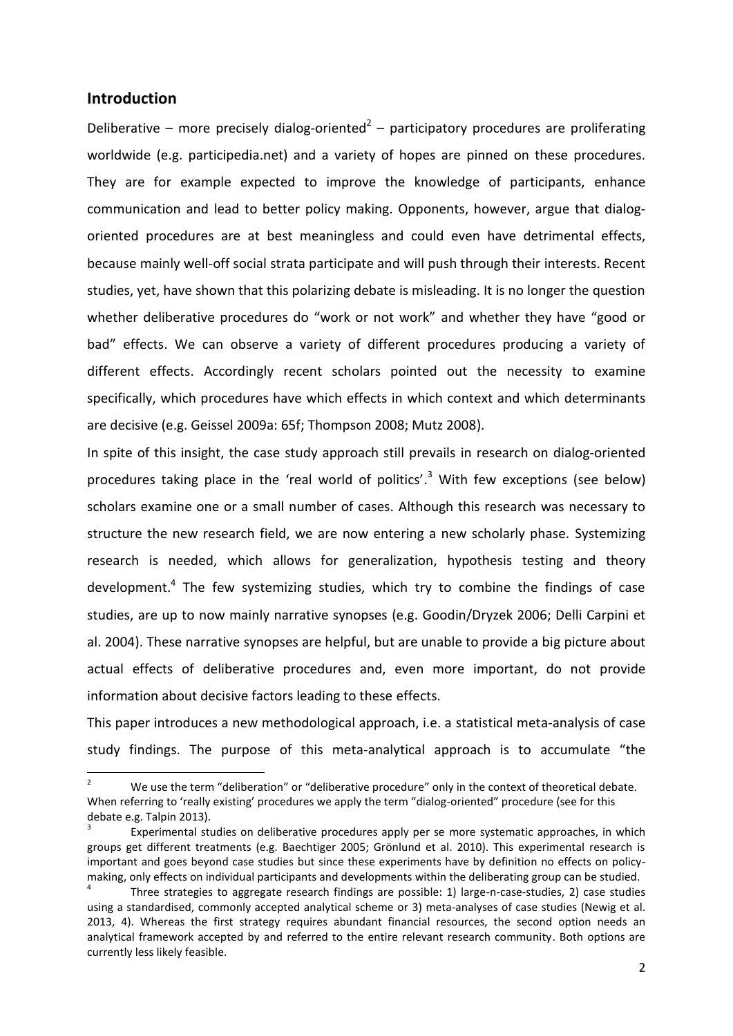#### **Introduction**

1

Deliberative – more precisely dialog-oriented<sup>2</sup> – participatory procedures are proliferating worldwide (e.g. participedia.net) and a variety of hopes are pinned on these procedures. They are for example expected to improve the knowledge of participants, enhance communication and lead to better policy making. Opponents, however, argue that dialogoriented procedures are at best meaningless and could even have detrimental effects, because mainly well-off social strata participate and will push through their interests. Recent studies, yet, have shown that this polarizing debate is misleading. It is no longer the question whether deliberative procedures do "work or not work" and whether they have "good or bad" effects. We can observe a variety of different procedures producing a variety of different effects. Accordingly recent scholars pointed out the necessity to examine specifically, which procedures have which effects in which context and which determinants are decisive (e.g. Geissel 2009a: 65f; Thompson 2008; Mutz 2008).

In spite of this insight, the case study approach still prevails in research on dialog-oriented procedures taking place in the 'real world of politics'.<sup>3</sup> With few exceptions (see below) scholars examine one or a small number of cases. Although this research was necessary to structure the new research field, we are now entering a new scholarly phase. Systemizing research is needed, which allows for generalization, hypothesis testing and theory development.<sup>4</sup> The few systemizing studies, which try to combine the findings of case studies, are up to now mainly narrative synopses (e.g. Goodin/Dryzek 2006; Delli Carpini et al. 2004). These narrative synopses are helpful, but are unable to provide a big picture about actual effects of deliberative procedures and, even more important, do not provide information about decisive factors leading to these effects.

This paper introduces a new methodological approach, i.e. a statistical meta-analysis of case study findings. The purpose of this meta-analytical approach is to accumulate "the

We use the term "deliberation" or "deliberative procedure" only in the context of theoretical debate. When referring to 'really existing' procedures we apply the term "dialog-oriented" procedure (see for this debate e.g. Talpin 2013).

<sup>3</sup> Experimental studies on deliberative procedures apply per se more systematic approaches, in which groups get different treatments (e.g. Baechtiger 2005; Grönlund et al. 2010). This experimental research is important and goes beyond case studies but since these experiments have by definition no effects on policymaking, only effects on individual participants and developments within the deliberating group can be studied.

<sup>4</sup> Three strategies to aggregate research findings are possible: 1) large-n-case-studies, 2) case studies using a standardised, commonly accepted analytical scheme or 3) meta-analyses of case studies (Newig et al. 2013, 4). Whereas the first strategy requires abundant financial resources, the second option needs an analytical framework accepted by and referred to the entire relevant research community. Both options are currently less likely feasible.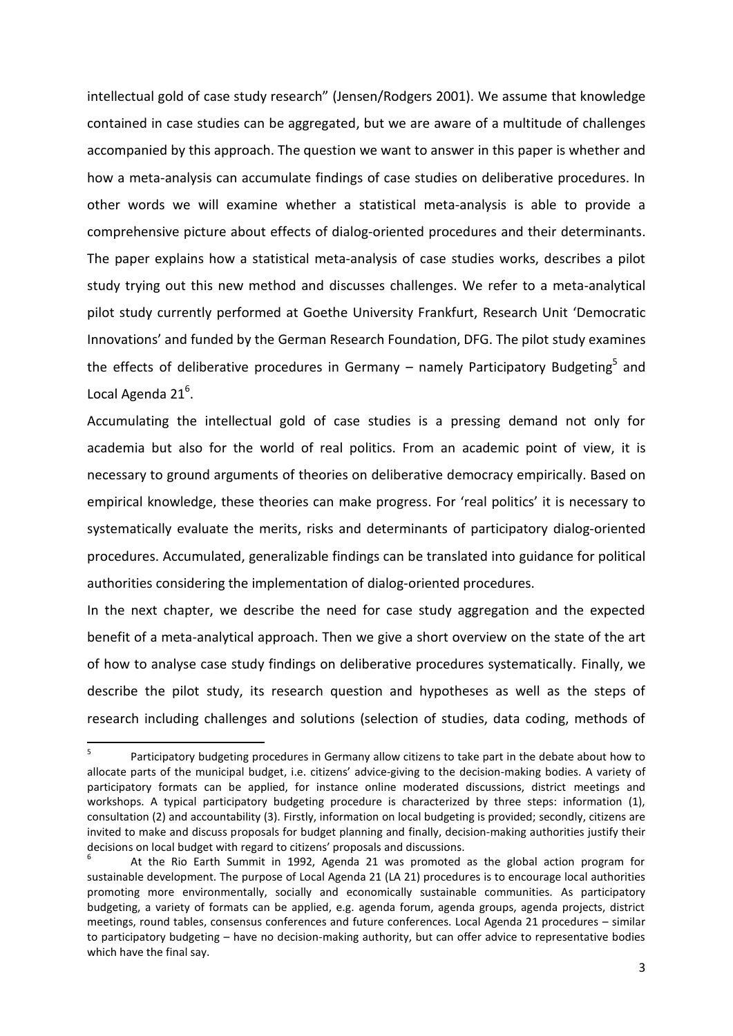intellectual gold of case study research" (Jensen/Rodgers 2001). We assume that knowledge contained in case studies can be aggregated, but we are aware of a multitude of challenges accompanied by this approach. The question we want to answer in this paper is whether and how a meta-analysis can accumulate findings of case studies on deliberative procedures. In other words we will examine whether a statistical meta-analysis is able to provide a comprehensive picture about effects of dialog-oriented procedures and their determinants. The paper explains how a statistical meta-analysis of case studies works, describes a pilot study trying out this new method and discusses challenges. We refer to a meta-analytical pilot study currently performed at Goethe University Frankfurt, Research Unit 'Democratic Innovations' and funded by the German Research Foundation, DFG. The pilot study examines the effects of deliberative procedures in Germany – namely Participatory Budgeting<sup>5</sup> and Local Agenda 21<sup>6</sup>.

Accumulating the intellectual gold of case studies is a pressing demand not only for academia but also for the world of real politics. From an academic point of view, it is necessary to ground arguments of theories on deliberative democracy empirically. Based on empirical knowledge, these theories can make progress. For 'real politics' it is necessary to systematically evaluate the merits, risks and determinants of participatory dialog-oriented procedures. Accumulated, generalizable findings can be translated into guidance for political authorities considering the implementation of dialog-oriented procedures.

In the next chapter, we describe the need for case study aggregation and the expected benefit of a meta-analytical approach. Then we give a short overview on the state of the art of how to analyse case study findings on deliberative procedures systematically. Finally, we describe the pilot study, its research question and hypotheses as well as the steps of research including challenges and solutions (selection of studies, data coding, methods of

<sup>-&</sup>lt;br>5 Participatory budgeting procedures in Germany allow citizens to take part in the debate about how to allocate parts of the municipal budget, i.e. citizens' advice-giving to the decision-making bodies. A variety of participatory formats can be applied, for instance online moderated discussions, district meetings and workshops. A typical participatory budgeting procedure is characterized by three steps: information (1), consultation (2) and accountability (3). Firstly, information on local budgeting is provided; secondly, citizens are invited to make and discuss proposals for budget planning and finally, decision-making authorities justify their decisions on local budget with regard to citizens' proposals and discussions.

<sup>6</sup> At the Rio Earth Summit in 1992, Agenda 21 was promoted as the global action program for sustainable development. The purpose of Local Agenda 21 (LA 21) procedures is to encourage local authorities promoting more environmentally, socially and economically sustainable communities. As participatory budgeting, a variety of formats can be applied, e.g. agenda forum, agenda groups, agenda projects, district meetings, round tables, consensus conferences and future conferences. Local Agenda 21 procedures – similar to participatory budgeting – have no decision-making authority, but can offer advice to representative bodies which have the final say.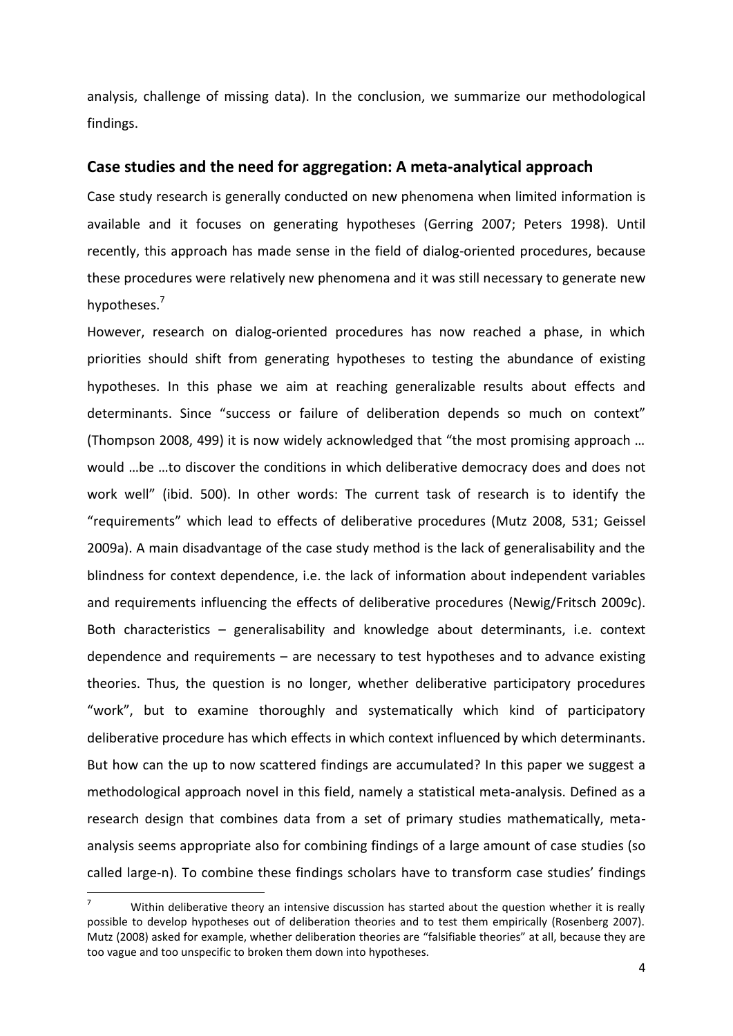analysis, challenge of missing data). In the conclusion, we summarize our methodological findings.

#### **Case studies and the need for aggregation: A meta-analytical approach**

Case study research is generally conducted on new phenomena when limited information is available and it focuses on generating hypotheses (Gerring 2007; Peters 1998). Until recently, this approach has made sense in the field of dialog-oriented procedures, because these procedures were relatively new phenomena and it was still necessary to generate new hypotheses.<sup>7</sup>

However, research on dialog-oriented procedures has now reached a phase, in which priorities should shift from generating hypotheses to testing the abundance of existing hypotheses. In this phase we aim at reaching generalizable results about effects and determinants. Since "success or failure of deliberation depends so much on context" (Thompson 2008, 499) it is now widely acknowledged that "the most promising approach … would …be …to discover the conditions in which deliberative democracy does and does not work well" (ibid. 500). In other words: The current task of research is to identify the "requirements" which lead to effects of deliberative procedures (Mutz 2008, 531; Geissel 2009a). A main disadvantage of the case study method is the lack of generalisability and the blindness for context dependence, i.e. the lack of information about independent variables and requirements influencing the effects of deliberative procedures (Newig/Fritsch 2009c). Both characteristics – generalisability and knowledge about determinants, i.e. context dependence and requirements – are necessary to test hypotheses and to advance existing theories. Thus, the question is no longer, whether deliberative participatory procedures "work", but to examine thoroughly and systematically which kind of participatory deliberative procedure has which effects in which context influenced by which determinants. But how can the up to now scattered findings are accumulated? In this paper we suggest a methodological approach novel in this field, namely a statistical meta-analysis. Defined as a research design that combines data from a set of primary studies mathematically, metaanalysis seems appropriate also for combining findings of a large amount of case studies (so called large-n). To combine these findings scholars have to transform case studies' findings

**.** 

Within deliberative theory an intensive discussion has started about the question whether it is really possible to develop hypotheses out of deliberation theories and to test them empirically (Rosenberg 2007). Mutz (2008) asked for example, whether deliberation theories are "falsifiable theories" at all, because they are too vague and too unspecific to broken them down into hypotheses.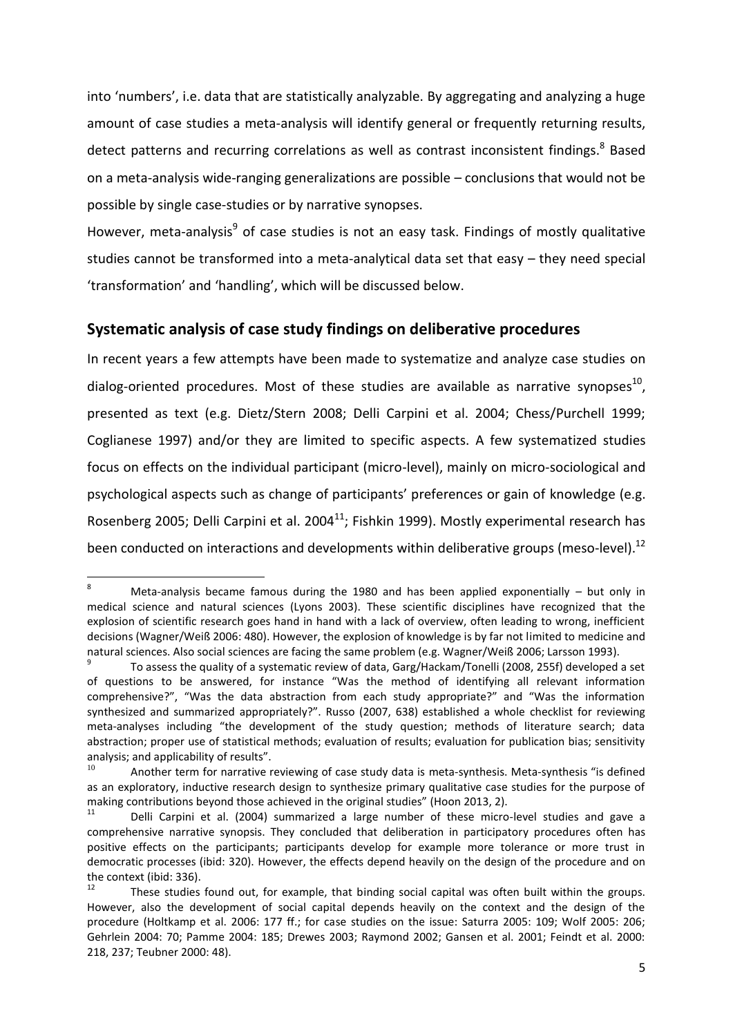into 'numbers', i.e. data that are statistically analyzable. By aggregating and analyzing a huge amount of case studies a meta-analysis will identify general or frequently returning results, detect patterns and recurring correlations as well as contrast inconsistent findings.<sup>8</sup> Based on a meta-analysis wide-ranging generalizations are possible – conclusions that would not be possible by single case-studies or by narrative synopses.

However, meta-analysis<sup>9</sup> of case studies is not an easy task. Findings of mostly qualitative studies cannot be transformed into a meta-analytical data set that easy – they need special 'transformation' and 'handling', which will be discussed below.

## **Systematic analysis of case study findings on deliberative procedures**

In recent years a few attempts have been made to systematize and analyze case studies on dialog-oriented procedures. Most of these studies are available as narrative synopses<sup>10</sup>, presented as text (e.g. Dietz/Stern 2008; Delli Carpini et al. 2004; Chess/Purchell 1999; Coglianese 1997) and/or they are limited to specific aspects. A few systematized studies focus on effects on the individual participant (micro-level), mainly on micro-sociological and psychological aspects such as change of participants' preferences or gain of knowledge (e.g. Rosenberg 2005; Delli Carpini et al. 2004<sup>11</sup>; Fishkin 1999). Mostly experimental research has been conducted on interactions and developments within deliberative groups (meso-level).<sup>12</sup>

1

Meta-analysis became famous during the 1980 and has been applied exponentially  $-$  but only in medical science and natural sciences (Lyons 2003). These scientific disciplines have recognized that the explosion of scientific research goes hand in hand with a lack of overview, often leading to wrong, inefficient decisions (Wagner/Weiß 2006: 480). However, the explosion of knowledge is by far not limited to medicine and natural sciences. Also social sciences are facing the same problem (e.g. Wagner/Weiß 2006; Larsson 1993).

<sup>9</sup> To assess the quality of a systematic review of data, Garg/Hackam/Tonelli (2008, 255f) developed a set of questions to be answered, for instance "Was the method of identifying all relevant information comprehensive?", "Was the data abstraction from each study appropriate?" and "Was the information synthesized and summarized appropriately?". Russo (2007, 638) established a whole checklist for reviewing meta-analyses including "the development of the study question; methods of literature search; data abstraction; proper use of statistical methods; evaluation of results; evaluation for publication bias; sensitivity analysis; and applicability of results".

Another term for narrative reviewing of case study data is meta-synthesis. Meta-synthesis "is defined as an exploratory, inductive research design to synthesize primary qualitative case studies for the purpose of making contributions beyond those achieved in the original studies" (Hoon 2013, 2).

Delli Carpini et al. (2004) summarized a large number of these micro-level studies and gave a comprehensive narrative synopsis. They concluded that deliberation in participatory procedures often has positive effects on the participants; participants develop for example more tolerance or more trust in democratic processes (ibid: 320). However, the effects depend heavily on the design of the procedure and on the context (ibid: 336).

These studies found out, for example, that binding social capital was often built within the groups. However, also the development of social capital depends heavily on the context and the design of the procedure (Holtkamp et al. 2006: 177 ff.; for case studies on the issue: Saturra 2005: 109; Wolf 2005: 206; Gehrlein 2004: 70; Pamme 2004: 185; Drewes 2003; Raymond 2002; Gansen et al. 2001; Feindt et al. 2000: 218, 237; Teubner 2000: 48).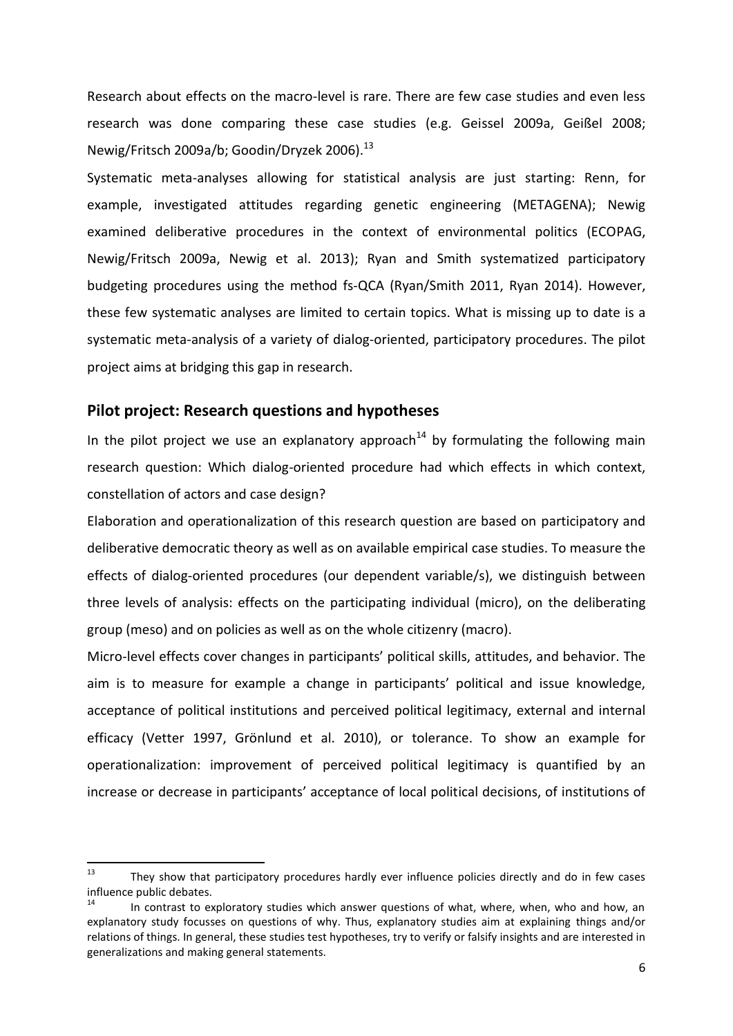Research about effects on the macro-level is rare. There are few case studies and even less research was done comparing these case studies (e.g. Geissel 2009a, Geißel 2008; Newig/Fritsch 2009a/b; Goodin/Dryzek 2006).<sup>13</sup>

Systematic meta-analyses allowing for statistical analysis are just starting: Renn, for example, investigated attitudes regarding genetic engineering (METAGENA); Newig examined deliberative procedures in the context of environmental politics (ECOPAG, Newig/Fritsch 2009a, Newig et al. 2013); Ryan and Smith systematized participatory budgeting procedures using the method fs-QCA (Ryan/Smith 2011, Ryan 2014). However, these few systematic analyses are limited to certain topics. What is missing up to date is a systematic meta-analysis of a variety of dialog-oriented, participatory procedures. The pilot project aims at bridging this gap in research.

## **Pilot project: Research questions and hypotheses**

In the pilot project we use an explanatory approach<sup>14</sup> by formulating the following main research question: Which dialog-oriented procedure had which effects in which context, constellation of actors and case design?

Elaboration and operationalization of this research question are based on participatory and deliberative democratic theory as well as on available empirical case studies. To measure the effects of dialog-oriented procedures (our dependent variable/s), we distinguish between three levels of analysis: effects on the participating individual (micro), on the deliberating group (meso) and on policies as well as on the whole citizenry (macro).

Micro-level effects cover changes in participants' political skills, attitudes, and behavior. The aim is to measure for example a change in participants' political and issue knowledge, acceptance of political institutions and perceived political legitimacy, external and internal efficacy (Vetter 1997, Grönlund et al. 2010), or tolerance. To show an example for operationalization: improvement of perceived political legitimacy is quantified by an increase or decrease in participants' acceptance of local political decisions, of institutions of

 $13$ They show that participatory procedures hardly ever influence policies directly and do in few cases influence public debates.

In contrast to exploratory studies which answer questions of what, where, when, who and how, an explanatory study focusses on questions of why. Thus, explanatory studies aim at explaining things and/or relations of things. In general, these studies test hypotheses, try to verify or falsify insights and are interested in generalizations and making general statements.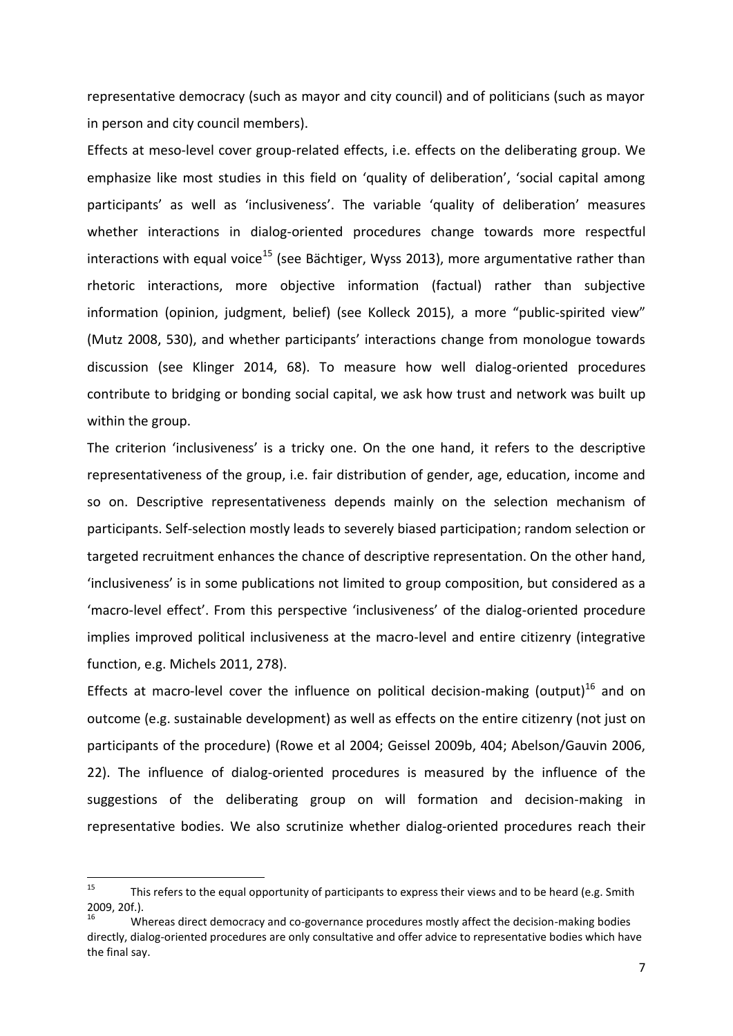representative democracy (such as mayor and city council) and of politicians (such as mayor in person and city council members).

Effects at meso-level cover group-related effects, i.e. effects on the deliberating group. We emphasize like most studies in this field on 'quality of deliberation', 'social capital among participants' as well as 'inclusiveness'. The variable 'quality of deliberation' measures whether interactions in dialog-oriented procedures change towards more respectful interactions with equal voice<sup>15</sup> (see Bächtiger, Wyss 2013), more argumentative rather than rhetoric interactions, more objective information (factual) rather than subjective information (opinion, judgment, belief) (see Kolleck 2015), a more "public-spirited view" (Mutz 2008, 530), and whether participants' interactions change from monologue towards discussion (see Klinger 2014, 68). To measure how well dialog-oriented procedures contribute to bridging or bonding social capital, we ask how trust and network was built up within the group.

The criterion 'inclusiveness' is a tricky one. On the one hand, it refers to the descriptive representativeness of the group, i.e. fair distribution of gender, age, education, income and so on. Descriptive representativeness depends mainly on the selection mechanism of participants. Self-selection mostly leads to severely biased participation; random selection or targeted recruitment enhances the chance of descriptive representation. On the other hand, 'inclusiveness' is in some publications not limited to group composition, but considered as a 'macro-level effect'. From this perspective 'inclusiveness' of the dialog-oriented procedure implies improved political inclusiveness at the macro-level and entire citizenry (integrative function, e.g. Michels 2011, 278).

Effects at macro-level cover the influence on political decision-making (output)<sup>16</sup> and on outcome (e.g. sustainable development) as well as effects on the entire citizenry (not just on participants of the procedure) (Rowe et al 2004; Geissel 2009b, 404; Abelson/Gauvin 2006, 22). The influence of dialog-oriented procedures is measured by the influence of the suggestions of the deliberating group on will formation and decision-making in representative bodies. We also scrutinize whether dialog-oriented procedures reach their

<sup>15</sup> This refers to the equal opportunity of participants to express their views and to be heard (e.g. Smith 2009, 20f.).

<sup>16</sup> Whereas direct democracy and co-governance procedures mostly affect the decision-making bodies directly, dialog-oriented procedures are only consultative and offer advice to representative bodies which have the final say.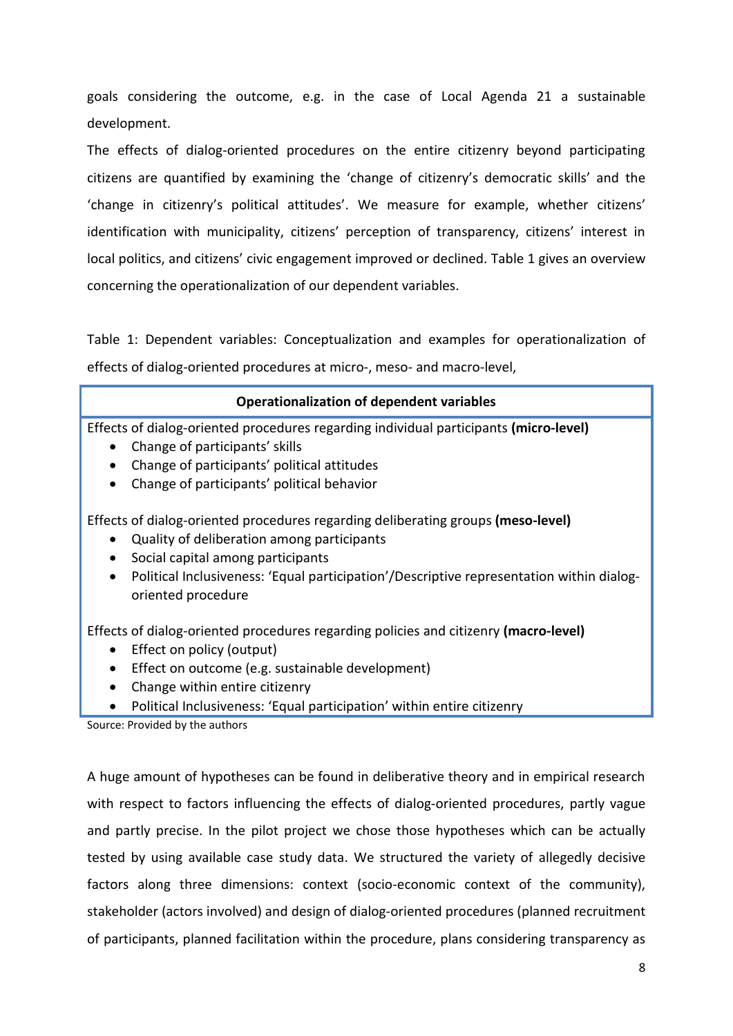goals considering the outcome, e.g. in the case of Local Agenda 21 a sustainable development.

The effects of dialog-oriented procedures on the entire citizenry beyond participating citizens are quantified by examining the 'change of citizenry's democratic skills' and the 'change in citizenry's political attitudes'. We measure for example, whether citizens' identification with municipality, citizens' perception of transparency, citizens' interest in local politics, and citizens' civic engagement improved or declined. Table 1 gives an overview concerning the operationalization of our dependent variables.

Table 1: Dependent variables: Conceptualization and examples for operationalization of effects of dialog-oriented procedures at micro-, meso- and macro-level,

| <b>Operationalization of dependent variables</b>                                                                                                                                                                                               |
|------------------------------------------------------------------------------------------------------------------------------------------------------------------------------------------------------------------------------------------------|
| Effects of dialog-oriented procedures regarding individual participants (micro-level)<br>Change of participants' skills<br>$\bullet$<br>Change of participants' political attitudes<br>Change of participants' political behavior<br>$\bullet$ |
| Effects of dialog-oriented procedures regarding deliberating groups (meso-level)<br>Quality of deliberation among participants<br>$\bullet$                                                                                                    |

- Social capital among participants
- Political Inclusiveness: 'Equal participation'/Descriptive representation within dialogoriented procedure

Effects of dialog-oriented procedures regarding policies and citizenry **(macro-level)**

- Effect on policy (output)
- **Effect on outcome (e.g. sustainable development)**
- Change within entire citizenry
- Political Inclusiveness: 'Equal participation' within entire citizenry

Source: Provided by the authors

A huge amount of hypotheses can be found in deliberative theory and in empirical research with respect to factors influencing the effects of dialog-oriented procedures, partly vague and partly precise. In the pilot project we chose those hypotheses which can be actually tested by using available case study data. We structured the variety of allegedly decisive factors along three dimensions: context (socio-economic context of the community), stakeholder (actors involved) and design of dialog-oriented procedures (planned recruitment of participants, planned facilitation within the procedure, plans considering transparency as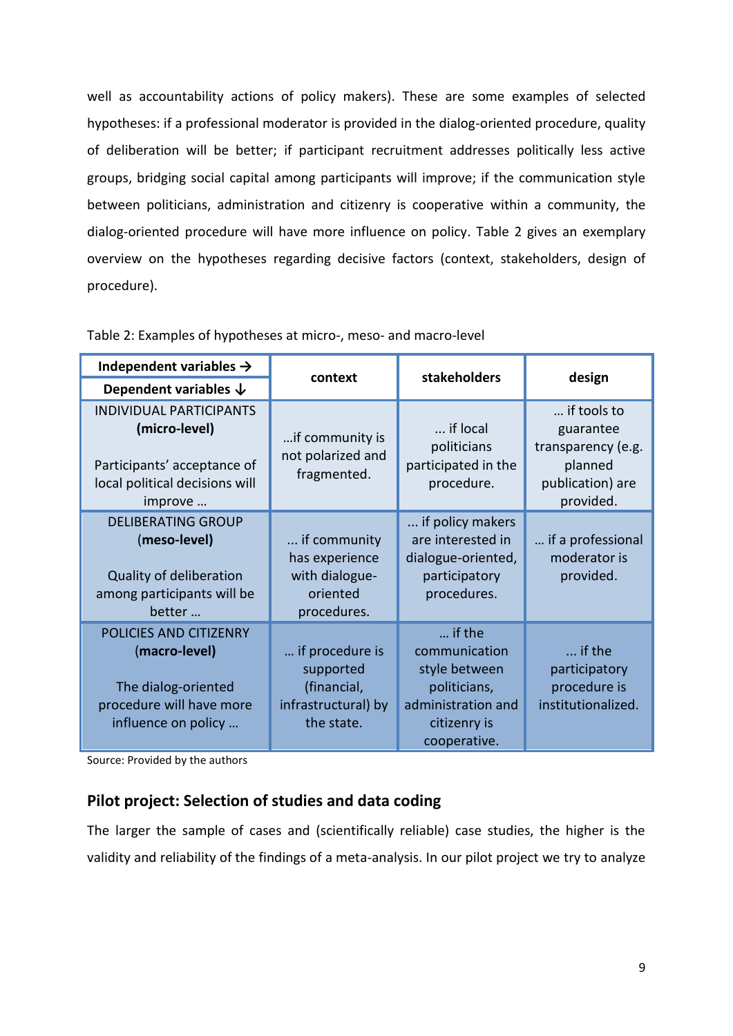well as accountability actions of policy makers). These are some examples of selected hypotheses: if a professional moderator is provided in the dialog-oriented procedure, quality of deliberation will be better; if participant recruitment addresses politically less active groups, bridging social capital among participants will improve; if the communication style between politicians, administration and citizenry is cooperative within a community, the dialog-oriented procedure will have more influence on policy. Table 2 gives an exemplary overview on the hypotheses regarding decisive factors (context, stakeholders, design of procedure).

| Independent variables $\rightarrow$                                                                                         | context                                                                          | stakeholders                                                                                                   | design                                                                                     |  |
|-----------------------------------------------------------------------------------------------------------------------------|----------------------------------------------------------------------------------|----------------------------------------------------------------------------------------------------------------|--------------------------------------------------------------------------------------------|--|
| Dependent variables $\downarrow$                                                                                            |                                                                                  |                                                                                                                |                                                                                            |  |
| <b>INDIVIDUAL PARTICIPANTS</b><br>(micro-level)<br>Participants' acceptance of<br>local political decisions will<br>improve | if community is<br>not polarized and<br>fragmented.                              | if local<br>politicians<br>participated in the<br>procedure.                                                   | if tools to<br>guarantee<br>transparency (e.g.<br>planned<br>publication) are<br>provided. |  |
| <b>DELIBERATING GROUP</b><br>(meso-level)<br>Quality of deliberation<br>among participants will be<br>better                | if community<br>has experience<br>with dialogue-<br>oriented<br>procedures.      | if policy makers<br>are interested in<br>dialogue-oriented,<br>participatory<br>procedures.                    | if a professional<br>moderator is<br>provided.                                             |  |
| POLICIES AND CITIZENRY<br>(macro-level)<br>The dialog-oriented<br>procedure will have more<br>influence on policy           | if procedure is<br>supported<br>(financial,<br>infrastructural) by<br>the state. | if the<br>communication<br>style between<br>politicians,<br>administration and<br>citizenry is<br>cooperative. | if the<br>participatory<br>procedure is<br>institutionalized.                              |  |

Table 2: Examples of hypotheses at micro-, meso- and macro-level

Source: Provided by the authors

# **Pilot project: Selection of studies and data coding**

The larger the sample of cases and (scientifically reliable) case studies, the higher is the validity and reliability of the findings of a meta-analysis. In our pilot project we try to analyze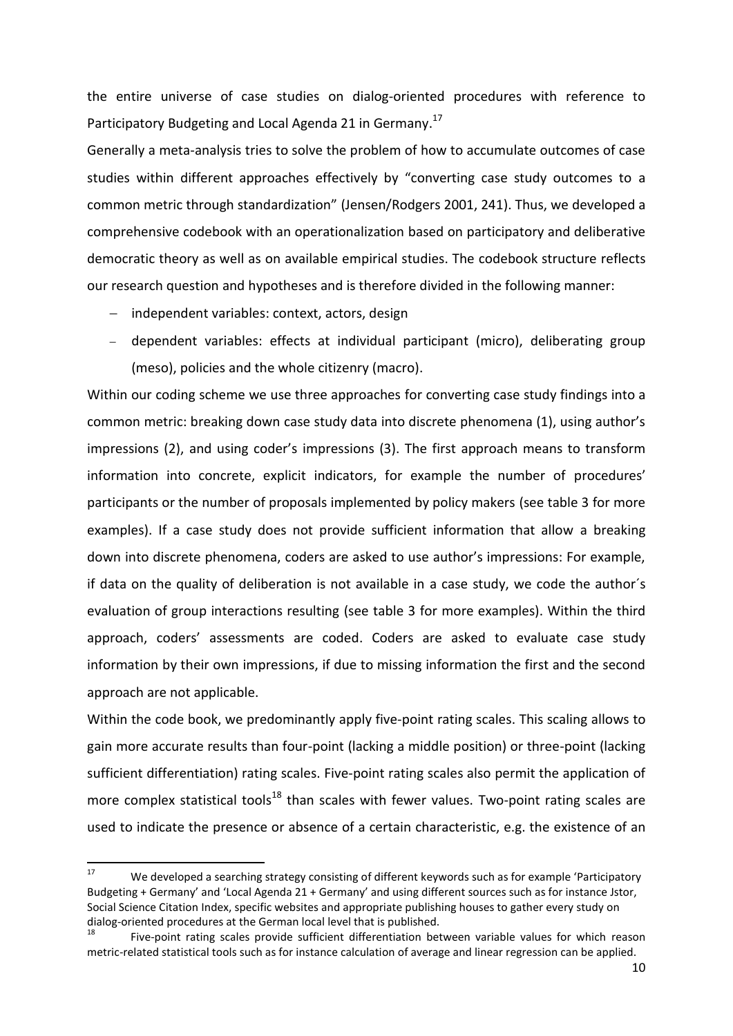the entire universe of case studies on dialog-oriented procedures with reference to Participatory Budgeting and Local Agenda 21 in Germany.<sup>17</sup>

Generally a meta-analysis tries to solve the problem of how to accumulate outcomes of case studies within different approaches effectively by "converting case study outcomes to a common metric through standardization" (Jensen/Rodgers 2001, 241). Thus, we developed a comprehensive codebook with an operationalization based on participatory and deliberative democratic theory as well as on available empirical studies. The codebook structure reflects our research question and hypotheses and is therefore divided in the following manner:

- independent variables: context, actors, design
- dependent variables: effects at individual participant (micro), deliberating group (meso), policies and the whole citizenry (macro).

Within our coding scheme we use three approaches for converting case study findings into a common metric: breaking down case study data into discrete phenomena (1), using author's impressions (2), and using coder's impressions (3). The first approach means to transform information into concrete, explicit indicators, for example the number of procedures' participants or the number of proposals implemented by policy makers (see table 3 for more examples). If a case study does not provide sufficient information that allow a breaking down into discrete phenomena, coders are asked to use author's impressions: For example, if data on the quality of deliberation is not available in a case study, we code the author´s evaluation of group interactions resulting (see table 3 for more examples). Within the third approach, coders' assessments are coded. Coders are asked to evaluate case study information by their own impressions, if due to missing information the first and the second approach are not applicable.

Within the code book, we predominantly apply five-point rating scales. This scaling allows to gain more accurate results than four-point (lacking a middle position) or three-point (lacking sufficient differentiation) rating scales. Five-point rating scales also permit the application of more complex statistical tools<sup>18</sup> than scales with fewer values. Two-point rating scales are used to indicate the presence or absence of a certain characteristic, e.g. the existence of an

 $17$ We developed a searching strategy consisting of different keywords such as for example 'Participatory Budgeting + Germany' and 'Local Agenda 21 + Germany' and using different sources such as for instance Jstor, Social Science Citation Index, specific websites and appropriate publishing houses to gather every study on dialog-oriented procedures at the German local level that is published.

Five-point rating scales provide sufficient differentiation between variable values for which reason metric-related statistical tools such as for instance calculation of average and linear regression can be applied.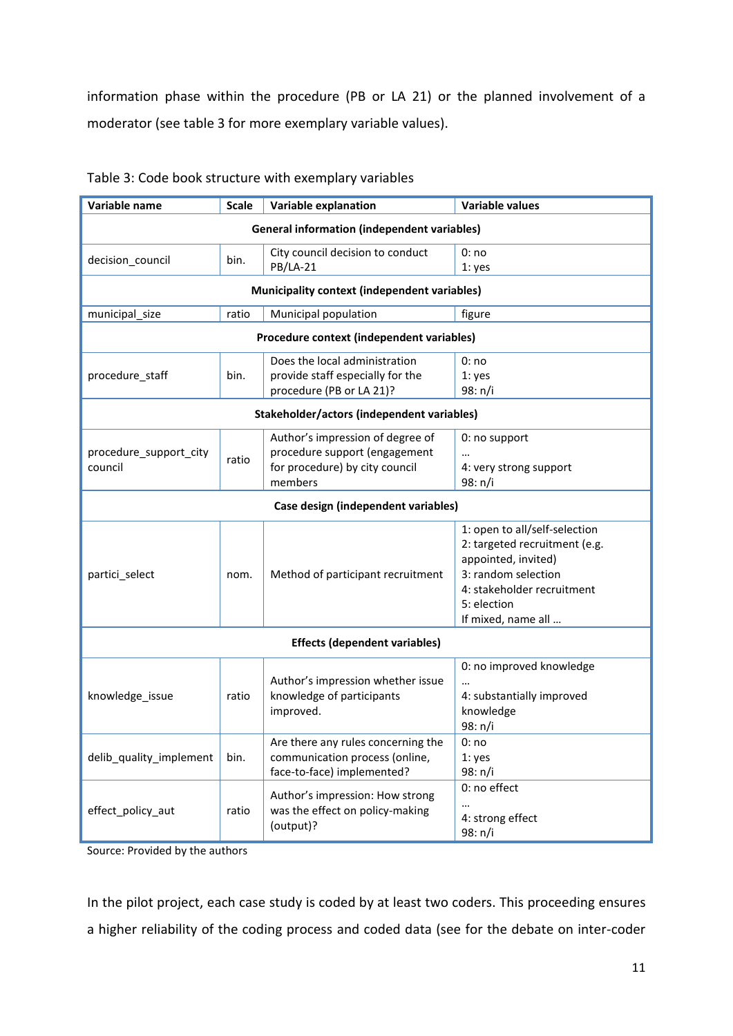information phase within the procedure (PB or LA 21) or the planned involvement of a moderator (see table 3 for more exemplary variable values).

| Variable name                                      | <b>Scale</b> | <b>Variable explanation</b>                                                                                    | <b>Variable values</b>                                                                                                                                                          |  |  |
|----------------------------------------------------|--------------|----------------------------------------------------------------------------------------------------------------|---------------------------------------------------------------------------------------------------------------------------------------------------------------------------------|--|--|
| <b>General information (independent variables)</b> |              |                                                                                                                |                                                                                                                                                                                 |  |  |
| decision_council                                   | bin.         | City council decision to conduct<br><b>PB/LA-21</b>                                                            | 0: no<br>1: yes                                                                                                                                                                 |  |  |
| Municipality context (independent variables)       |              |                                                                                                                |                                                                                                                                                                                 |  |  |
| municipal_size                                     | ratio        | Municipal population                                                                                           | figure                                                                                                                                                                          |  |  |
| Procedure context (independent variables)          |              |                                                                                                                |                                                                                                                                                                                 |  |  |
| procedure_staff                                    | bin.         | Does the local administration<br>provide staff especially for the<br>procedure (PB or LA 21)?                  | 0:no<br>1: yes<br>98: n/i                                                                                                                                                       |  |  |
| Stakeholder/actors (independent variables)         |              |                                                                                                                |                                                                                                                                                                                 |  |  |
| procedure_support_city<br>council                  | ratio        | Author's impression of degree of<br>procedure support (engagement<br>for procedure) by city council<br>members | 0: no support<br><br>4: very strong support<br>98: n/i                                                                                                                          |  |  |
| Case design (independent variables)                |              |                                                                                                                |                                                                                                                                                                                 |  |  |
| partici_select                                     | nom.         | Method of participant recruitment                                                                              | 1: open to all/self-selection<br>2: targeted recruitment (e.g.<br>appointed, invited)<br>3: random selection<br>4: stakeholder recruitment<br>5: election<br>If mixed, name all |  |  |
| <b>Effects (dependent variables)</b>               |              |                                                                                                                |                                                                                                                                                                                 |  |  |
| knowledge_issue                                    | ratio        | Author's impression whether issue<br>knowledge of participants<br>improved.                                    | 0: no improved knowledge<br><br>4: substantially improved<br>knowledge<br>98: n/i                                                                                               |  |  |
| delib_quality_implement                            | bin.         | Are there any rules concerning the<br>communication process (online,<br>face-to-face) implemented?             | 0:no<br>1: yes<br>98: n/i                                                                                                                                                       |  |  |
| effect_policy_aut                                  | ratio        | Author's impression: How strong<br>was the effect on policy-making<br>(output)?                                | 0: no effect<br>$\cdots$<br>4: strong effect<br>98: n/i                                                                                                                         |  |  |

#### Table 3: Code book structure with exemplary variables

Source: Provided by the authors

In the pilot project, each case study is coded by at least two coders. This proceeding ensures a higher reliability of the coding process and coded data (see for the debate on inter-coder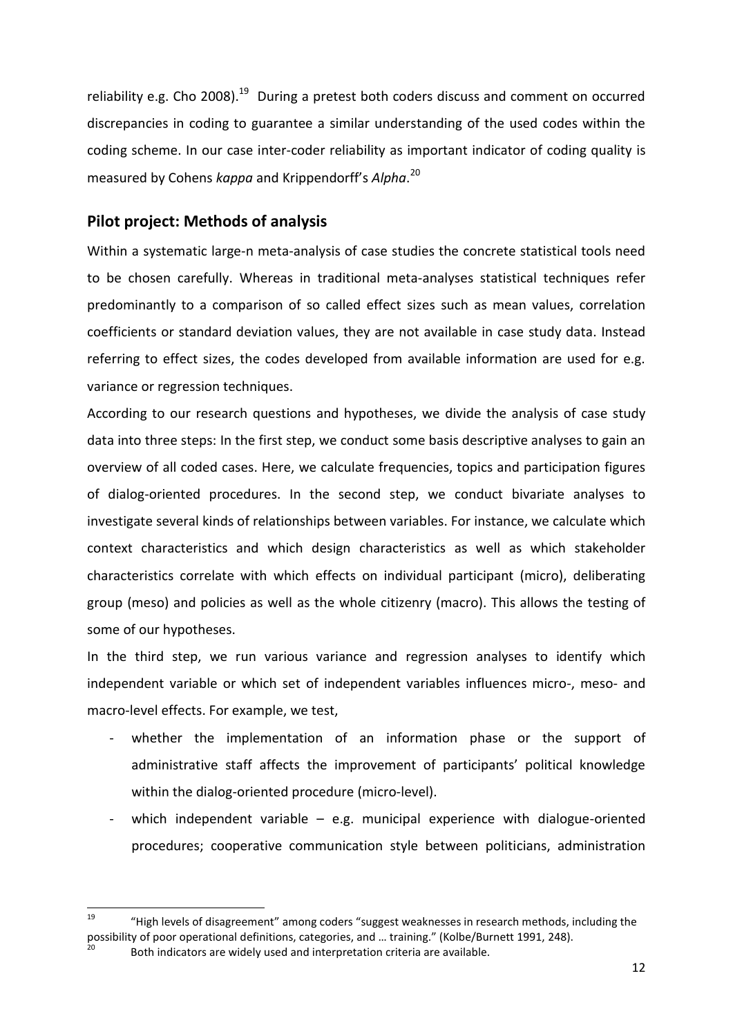reliability e.g. Cho 2008).<sup>19</sup> During a pretest both coders discuss and comment on occurred discrepancies in coding to guarantee a similar understanding of the used codes within the coding scheme. In our case inter-coder reliability as important indicator of coding quality is measured by Cohens *kappa* and Krippendorff's *Alpha*. 20

## **Pilot project: Methods of analysis**

Within a systematic large-n meta-analysis of case studies the concrete statistical tools need to be chosen carefully. Whereas in traditional meta-analyses statistical techniques refer predominantly to a comparison of so called effect sizes such as mean values, correlation coefficients or standard deviation values, they are not available in case study data. Instead referring to effect sizes, the codes developed from available information are used for e.g. variance or regression techniques.

According to our research questions and hypotheses, we divide the analysis of case study data into three steps: In the first step, we conduct some basis descriptive analyses to gain an overview of all coded cases. Here, we calculate frequencies, topics and participation figures of dialog-oriented procedures. In the second step, we conduct bivariate analyses to investigate several kinds of relationships between variables. For instance, we calculate which context characteristics and which design characteristics as well as which stakeholder characteristics correlate with which effects on individual participant (micro), deliberating group (meso) and policies as well as the whole citizenry (macro). This allows the testing of some of our hypotheses.

In the third step, we run various variance and regression analyses to identify which independent variable or which set of independent variables influences micro-, meso- and macro-level effects. For example, we test,

- whether the implementation of an information phase or the support of administrative staff affects the improvement of participants' political knowledge within the dialog-oriented procedure (micro-level).
- which independent variable e.g. municipal experience with dialogue-oriented procedures; cooperative communication style between politicians, administration

<sup>19</sup> <sup>19</sup> "High levels of disagreement" among coders "suggest weaknesses in research methods, including the possibility of poor operational definitions, categories, and … training." (Kolbe/Burnett 1991, 248).

Both indicators are widely used and interpretation criteria are available.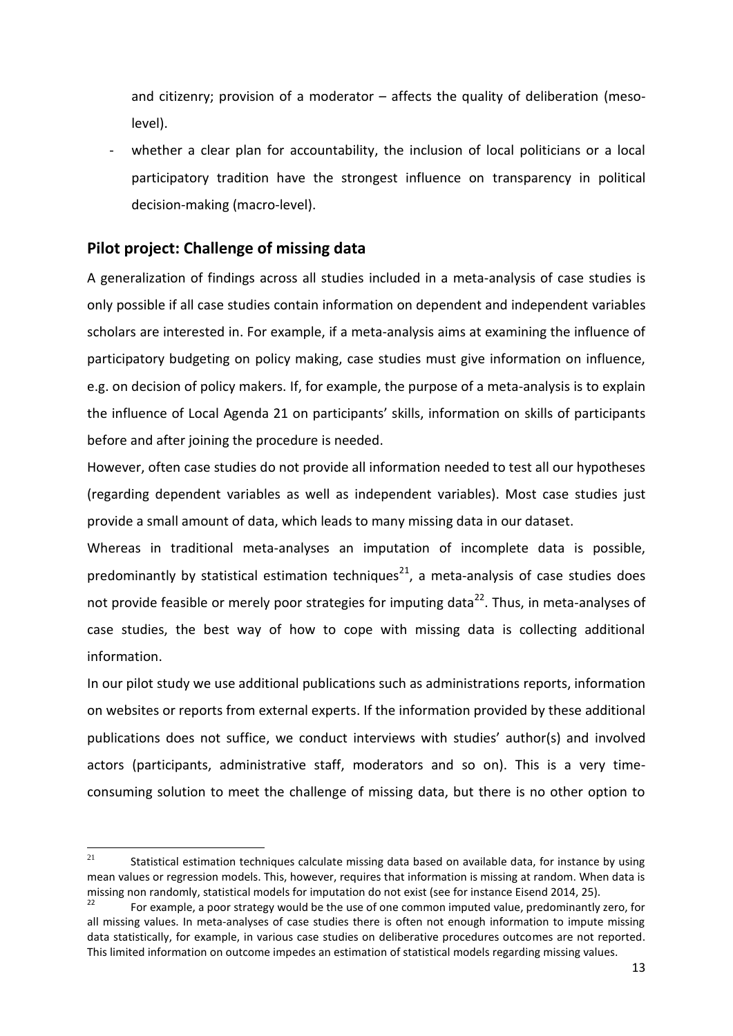and citizenry; provision of a moderator – affects the quality of deliberation (mesolevel).

whether a clear plan for accountability, the inclusion of local politicians or a local participatory tradition have the strongest influence on transparency in political decision-making (macro-level).

# **Pilot project: Challenge of missing data**

A generalization of findings across all studies included in a meta-analysis of case studies is only possible if all case studies contain information on dependent and independent variables scholars are interested in. For example, if a meta-analysis aims at examining the influence of participatory budgeting on policy making, case studies must give information on influence, e.g. on decision of policy makers. If, for example, the purpose of a meta-analysis is to explain the influence of Local Agenda 21 on participants' skills, information on skills of participants before and after joining the procedure is needed.

However, often case studies do not provide all information needed to test all our hypotheses (regarding dependent variables as well as independent variables). Most case studies just provide a small amount of data, which leads to many missing data in our dataset.

Whereas in traditional meta-analyses an imputation of incomplete data is possible, predominantly by statistical estimation techniques<sup>21</sup>, a meta-analysis of case studies does not provide feasible or merely poor strategies for imputing data<sup>22</sup>. Thus, in meta-analyses of case studies, the best way of how to cope with missing data is collecting additional information.

In our pilot study we use additional publications such as administrations reports, information on websites or reports from external experts. If the information provided by these additional publications does not suffice, we conduct interviews with studies' author(s) and involved actors (participants, administrative staff, moderators and so on). This is a very timeconsuming solution to meet the challenge of missing data, but there is no other option to

<sup>21</sup> Statistical estimation techniques calculate missing data based on available data, for instance by using mean values or regression models. This, however, requires that information is missing at random. When data is missing non randomly, statistical models for imputation do not exist (see for instance Eisend 2014, 25).

For example, a poor strategy would be the use of one common imputed value, predominantly zero, for all missing values. In meta-analyses of case studies there is often not enough information to impute missing data statistically, for example, in various case studies on deliberative procedures outcomes are not reported. This limited information on outcome impedes an estimation of statistical models regarding missing values.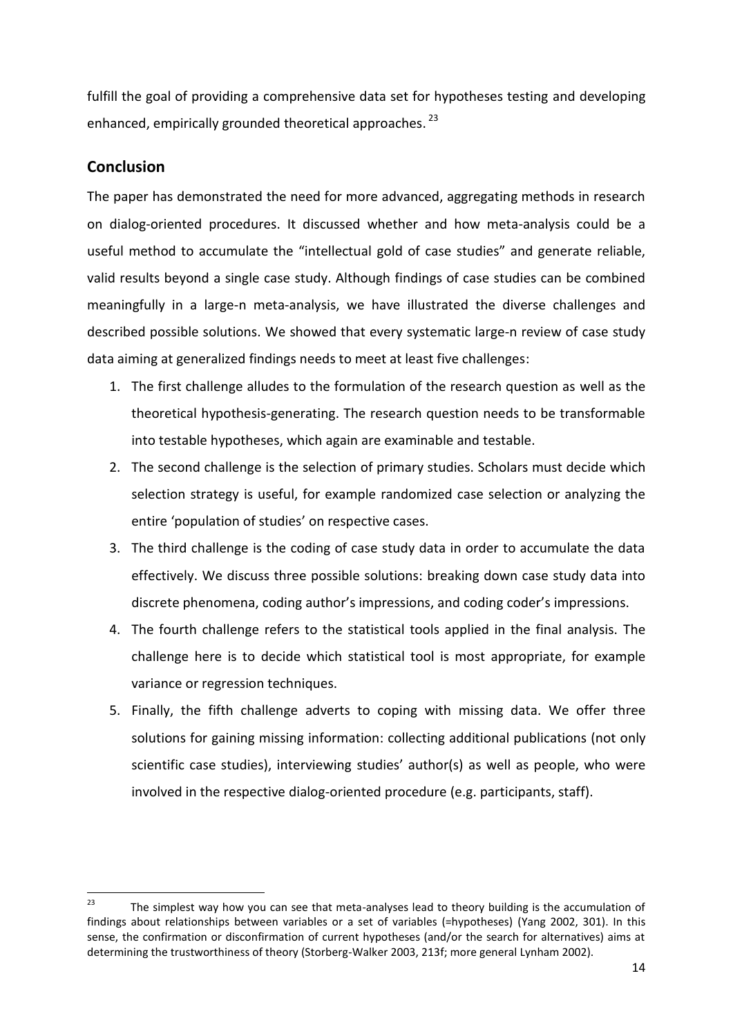fulfill the goal of providing a comprehensive data set for hypotheses testing and developing enhanced, empirically grounded theoretical approaches.<sup>23</sup>

## **Conclusion**

The paper has demonstrated the need for more advanced, aggregating methods in research on dialog-oriented procedures. It discussed whether and how meta-analysis could be a useful method to accumulate the "intellectual gold of case studies" and generate reliable, valid results beyond a single case study. Although findings of case studies can be combined meaningfully in a large-n meta-analysis, we have illustrated the diverse challenges and described possible solutions. We showed that every systematic large-n review of case study data aiming at generalized findings needs to meet at least five challenges:

- 1. The first challenge alludes to the formulation of the research question as well as the theoretical hypothesis-generating. The research question needs to be transformable into testable hypotheses, which again are examinable and testable.
- 2. The second challenge is the selection of primary studies. Scholars must decide which selection strategy is useful, for example randomized case selection or analyzing the entire 'population of studies' on respective cases.
- 3. The third challenge is the coding of case study data in order to accumulate the data effectively. We discuss three possible solutions: breaking down case study data into discrete phenomena, coding author's impressions, and coding coder's impressions.
- 4. The fourth challenge refers to the statistical tools applied in the final analysis. The challenge here is to decide which statistical tool is most appropriate, for example variance or regression techniques.
- 5. Finally, the fifth challenge adverts to coping with missing data. We offer three solutions for gaining missing information: collecting additional publications (not only scientific case studies), interviewing studies' author(s) as well as people, who were involved in the respective dialog-oriented procedure (e.g. participants, staff).

<sup>23</sup> The simplest way how you can see that meta-analyses lead to theory building is the accumulation of findings about relationships between variables or a set of variables (=hypotheses) (Yang 2002, 301). In this sense, the confirmation or disconfirmation of current hypotheses (and/or the search for alternatives) aims at determining the trustworthiness of theory (Storberg-Walker 2003, 213f; more general Lynham 2002).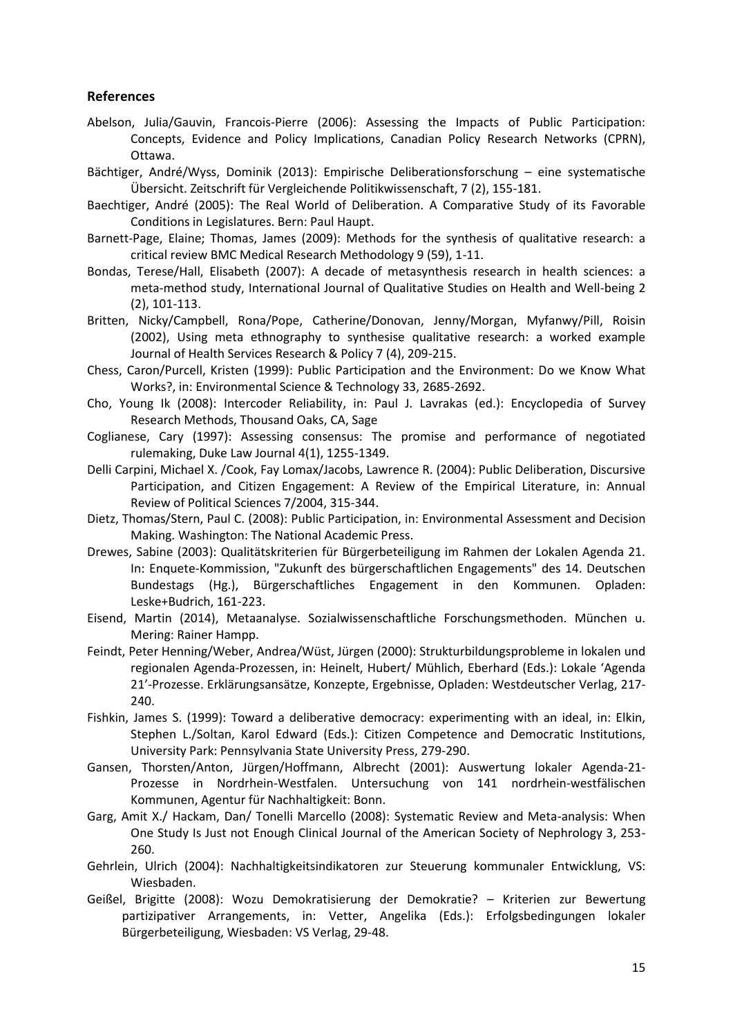#### **References**

- Abelson, Julia/Gauvin, Francois-Pierre (2006): Assessing the Impacts of Public Participation: Concepts, Evidence and Policy Implications, Canadian Policy Research Networks (CPRN), Ottawa.
- Bächtiger, André/Wyss, Dominik (2013): Empirische Deliberationsforschung eine systematische Übersicht. Zeitschrift für Vergleichende Politikwissenschaft, 7 (2), 155-181.
- Baechtiger, André (2005): The Real World of Deliberation. A Comparative Study of its Favorable Conditions in Legislatures. Bern: Paul Haupt.
- Barnett-Page, Elaine; Thomas, James (2009): Methods for the synthesis of qualitative research: a critical review BMC Medical Research Methodology 9 (59), 1-11.
- Bondas, Terese/Hall, Elisabeth (2007): A decade of metasynthesis research in health sciences: a meta-method study, International Journal of Qualitative Studies on Health and Well-being 2 (2), 101-113.
- Britten, Nicky/Campbell, Rona/Pope, Catherine/Donovan, Jenny/Morgan, Myfanwy/Pill, Roisin (2002), Using meta ethnography to synthesise qualitative research: a worked example Journal of Health Services Research & Policy 7 (4), 209-215.
- Chess, Caron/Purcell, Kristen (1999): Public Participation and the Environment: Do we Know What Works?, in: Environmental Science & Technology 33, 2685-2692.
- Cho, Young Ik (2008): Intercoder Reliability, in: Paul J. Lavrakas (ed.): Encyclopedia of Survey Research Methods, Thousand Oaks, CA, Sage
- Coglianese, Cary (1997): Assessing consensus: The promise and performance of negotiated rulemaking, Duke Law Journal 4(1), 1255-1349.
- Delli Carpini, Michael X. /Cook, Fay Lomax/Jacobs, Lawrence R. (2004): Public Deliberation, Discursive Participation, and Citizen Engagement: A Review of the Empirical Literature, in: Annual Review of Political Sciences 7/2004, 315-344.
- Dietz, Thomas/Stern, Paul C. (2008): Public Participation, in: Environmental Assessment and Decision Making. Washington: The National Academic Press.
- Drewes, Sabine (2003): Qualitätskriterien für Bürgerbeteiligung im Rahmen der Lokalen Agenda 21. In: Enquete-Kommission, "Zukunft des bürgerschaftlichen Engagements" des 14. Deutschen Bundestags (Hg.), Bürgerschaftliches Engagement in den Kommunen. Opladen: Leske+Budrich, 161-223.
- Eisend, Martin (2014), Metaanalyse. Sozialwissenschaftliche Forschungsmethoden. München u. Mering: Rainer Hampp.
- Feindt, Peter Henning/Weber, Andrea/Wüst, Jürgen (2000): Strukturbildungsprobleme in lokalen und regionalen Agenda-Prozessen, in: Heinelt, Hubert/ Mühlich, Eberhard (Eds.): Lokale 'Agenda 21'-Prozesse. Erklärungsansätze, Konzepte, Ergebnisse, Opladen: Westdeutscher Verlag, 217- 240.
- Fishkin, James S. (1999): Toward a deliberative democracy: experimenting with an ideal, in: Elkin, Stephen L./Soltan, Karol Edward (Eds.): Citizen Competence and Democratic Institutions, University Park: Pennsylvania State University Press, 279-290.
- Gansen, Thorsten/Anton, Jürgen/Hoffmann, Albrecht (2001): Auswertung lokaler Agenda-21- Prozesse in Nordrhein-Westfalen. Untersuchung von 141 nordrhein-westfälischen Kommunen, Agentur für Nachhaltigkeit: Bonn.
- Garg, Amit X./ Hackam, Dan/ Tonelli Marcello (2008): Systematic Review and Meta-analysis: When One Study Is Just not Enough Clinical Journal of the American Society of Nephrology 3, 253- 260.
- Gehrlein, Ulrich (2004): Nachhaltigkeitsindikatoren zur Steuerung kommunaler Entwicklung, VS: Wiesbaden.
- Geißel, Brigitte (2008): Wozu Demokratisierung der Demokratie? Kriterien zur Bewertung partizipativer Arrangements, in: Vetter, Angelika (Eds.): Erfolgsbedingungen lokaler Bürgerbeteiligung, Wiesbaden: VS Verlag, 29-48.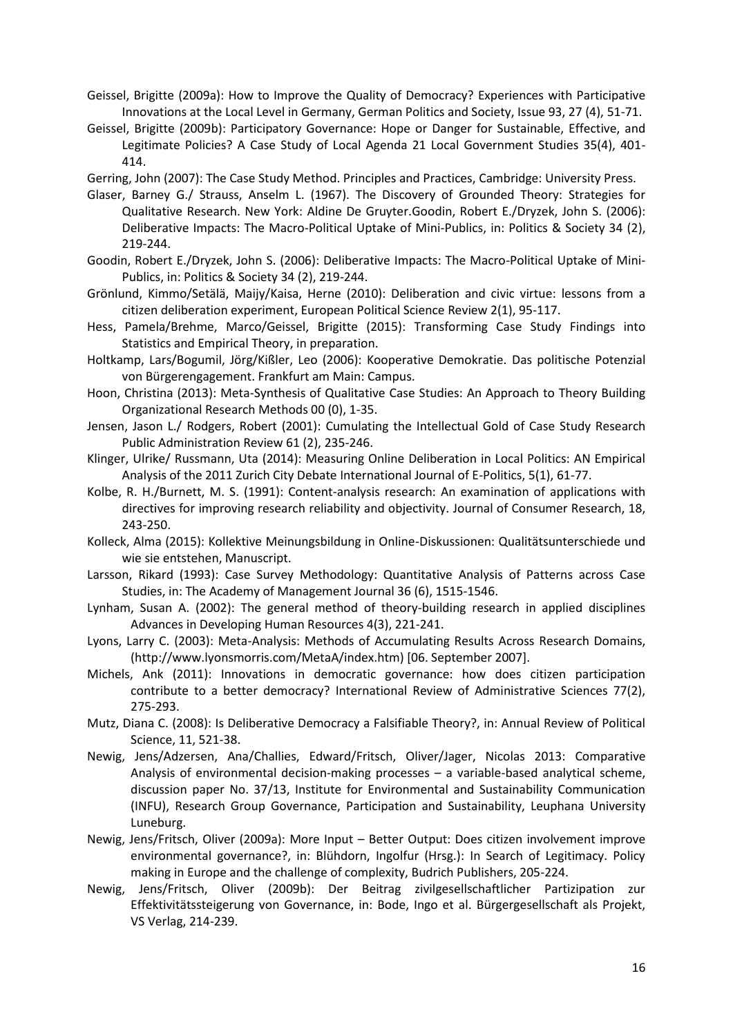- Geissel, Brigitte (2009a): How to Improve the Quality of Democracy? Experiences with Participative Innovations at the Local Level in Germany, German Politics and Society, Issue 93, 27 (4), 51-71.
- Geissel, Brigitte (2009b): Participatory Governance: Hope or Danger for Sustainable, Effective, and Legitimate Policies? A Case Study of Local Agenda 21 Local Government Studies 35(4), 401- 414.

Gerring, John (2007): The Case Study Method. Principles and Practices, Cambridge: University Press.

- Glaser, Barney G./ Strauss, Anselm L. (1967). The Discovery of Grounded Theory: Strategies for Qualitative Research. New York: Aldine De Gruyter.Goodin, Robert E./Dryzek, John S. (2006): Deliberative Impacts: The Macro-Political Uptake of Mini-Publics, in: Politics & Society 34 (2), 219-244.
- Goodin, Robert E./Dryzek, John S. (2006): Deliberative Impacts: The Macro-Political Uptake of Mini-Publics, in: Politics & Society 34 (2), 219-244.
- Grönlund, Kimmo/Setälä, Maijy/Kaisa, Herne (2010): Deliberation and civic virtue: lessons from a citizen deliberation experiment, European Political Science Review 2(1), 95-117.
- Hess, Pamela/Brehme, Marco/Geissel, Brigitte (2015): Transforming Case Study Findings into Statistics and Empirical Theory, in preparation.
- Holtkamp, Lars/Bogumil, Jörg/Kißler, Leo (2006): Kooperative Demokratie. Das politische Potenzial von Bürgerengagement. Frankfurt am Main: Campus.
- Hoon, Christina (2013): Meta-Synthesis of Qualitative Case Studies: An Approach to Theory Building Organizational Research Methods 00 (0), 1-35.
- Jensen, Jason L./ Rodgers, Robert (2001): Cumulating the Intellectual Gold of Case Study Research Public Administration Review 61 (2), 235-246.
- Klinger, Ulrike/ Russmann, Uta (2014): Measuring Online Deliberation in Local Politics: AN Empirical Analysis of the 2011 Zurich City Debate International Journal of E-Politics, 5(1), 61-77.
- Kolbe, R. H./Burnett, M. S. (1991): Content-analysis research: An examination of applications with directives for improving research reliability and objectivity. Journal of Consumer Research, 18, 243-250.
- Kolleck, Alma (2015): Kollektive Meinungsbildung in Online-Diskussionen: Qualitätsunterschiede und wie sie entstehen, Manuscript.
- Larsson, Rikard (1993): Case Survey Methodology: Quantitative Analysis of Patterns across Case Studies, in: The Academy of Management Journal 36 (6), 1515-1546.
- Lynham, Susan A. (2002): The general method of theory-building research in applied disciplines Advances in Developing Human Resources 4(3), 221-241.
- Lyons, Larry C. (2003): Meta-Analysis: Methods of Accumulating Results Across Research Domains, (http://www.lyonsmorris.com/MetaA/index.htm) [06. September 2007].
- Michels, Ank (2011): Innovations in democratic governance: how does citizen participation contribute to a better democracy? International Review of Administrative Sciences 77(2), 275-293.
- Mutz, Diana C. (2008): Is Deliberative Democracy a Falsifiable Theory?, in: Annual Review of Political Science, 11, 521-38.
- Newig, Jens/Adzersen, Ana/Challies, Edward/Fritsch, Oliver/Jager, Nicolas 2013: Comparative Analysis of environmental decision-making processes – a variable-based analytical scheme, discussion paper No. 37/13, Institute for Environmental and Sustainability Communication (INFU), Research Group Governance, Participation and Sustainability, Leuphana University Luneburg.
- Newig, Jens/Fritsch, Oliver (2009a): More Input Better Output: Does citizen involvement improve environmental governance?, in: Blühdorn, Ingolfur (Hrsg.): In Search of Legitimacy. Policy making in Europe and the challenge of complexity, Budrich Publishers, 205-224.
- Newig, Jens/Fritsch, Oliver (2009b): Der Beitrag zivilgesellschaftlicher Partizipation zur Effektivitätssteigerung von Governance, in: Bode, Ingo et al. Bürgergesellschaft als Projekt, VS Verlag, 214-239.